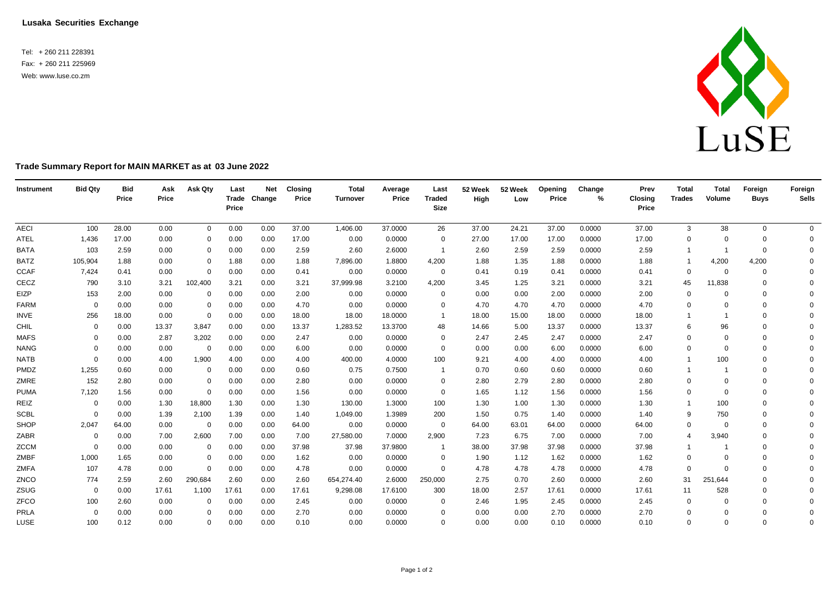**Lusaka Securities Exchange**

Tel: + 260 211 228391 Fax: + 260 211 225969 Web: [www.luse.co.zm](http://www.luse.co.zm/)



## **Trade Summary Report for MAIN MARKET as at 03 June 2022**

| Instrument  | <b>Bid Qty</b> | <b>Bid</b><br>Price | Ask<br>Price | Ask Qty     | Last<br>Price | <b>Net</b><br>Trade Change | <b>Closing</b><br>Price | <b>Total</b><br>Turnover | Average<br>Price | Last<br><b>Traded</b><br><b>Size</b> | 52 Week<br>High | 52 Week<br>Low | Opening<br>Price | Change<br>% | Prev<br><b>Closing</b><br>Price | <b>Total</b><br><b>Trades</b> | <b>Total</b><br>Volume | Foreign<br><b>Buys</b> | Foreign<br><b>Sells</b> |
|-------------|----------------|---------------------|--------------|-------------|---------------|----------------------------|-------------------------|--------------------------|------------------|--------------------------------------|-----------------|----------------|------------------|-------------|---------------------------------|-------------------------------|------------------------|------------------------|-------------------------|
| <b>AECI</b> | 100            | 28.00               | 0.00         | $\mathbf 0$ | 0.00          | 0.00                       | 37.00                   | 1,406.00                 | 37.0000          | 26                                   | 37.00           | 24.21          | 37.00            | 0.0000      | 37.00                           | 3                             | 38                     | $\mathbf 0$            | $\overline{0}$          |
| <b>ATEL</b> | 1,436          | 17.00               | 0.00         | $\Omega$    | 0.00          | 0.00                       | 17.00                   | 0.00                     | 0.0000           | 0                                    | 27.00           | 17.00          | 17.00            | 0.0000      | 17.00                           | $\Omega$                      | $\Omega$               | $\Omega$               | 0                       |
| <b>BATA</b> | 103            | 2.59                | 0.00         | 0           | 0.00          | 0.00                       | 2.59                    | 2.60                     | 2.6000           | $\overline{1}$                       | 2.60            | 2.59           | 2.59             | 0.0000      | 2.59                            |                               |                        | $\mathbf 0$            | $\Omega$                |
| <b>BATZ</b> | 105,904        | 1.88                | 0.00         | $\mathbf 0$ | 1.88          | 0.00                       | 1.88                    | 7,896.00                 | 1.8800           | 4,200                                | 1.88            | 1.35           | 1.88             | 0.0000      | 1.88                            | $\overline{1}$                | 4,200                  | 4,200                  | $\Omega$                |
| <b>CCAF</b> | 7,424          | 0.41                | 0.00         | $\mathbf 0$ | 0.00          | 0.00                       | 0.41                    | 0.00                     | 0.0000           | $\overline{0}$                       | 0.41            | 0.19           | 0.41             | 0.0000      | 0.41                            | $\mathbf 0$                   | $\overline{0}$         | $\mathbf 0$            | $\Omega$                |
| CECZ        | 790            | 3.10                | 3.21         | 102,400     | 3.21          | 0.00                       | 3.21                    | 37,999.98                | 3.2100           | 4,200                                | 3.45            | 1.25           | 3.21             | 0.0000      | 3.21                            | 45                            | 11,838                 | $\mathbf 0$            | $\Omega$                |
| EIZP        | 153            | 2.00                | 0.00         | 0           | 0.00          | 0.00                       | 2.00                    | 0.00                     | 0.0000           | $\mathbf{0}$                         | 0.00            | 0.00           | 2.00             | 0.0000      | 2.00                            | 0                             | $\Omega$               | $\Omega$               | $\Omega$                |
| <b>FARM</b> | $\Omega$       | 0.00                | 0.00         | 0           | 0.00          | 0.00                       | 4.70                    | 0.00                     | 0.0000           | $\mathbf{0}$                         | 4.70            | 4.70           | 4.70             | 0.0000      | 4.70                            | $\Omega$                      | $\Omega$               | $\Omega$               | $\Omega$                |
| <b>INVE</b> | 256            | 18.00               | 0.00         | $\mathbf 0$ | 0.00          | 0.00                       | 18.00                   | 18.00                    | 18.0000          | -1                                   | 18.00           | 15.00          | 18.00            | 0.0000      | 18.00                           | $\overline{1}$                | -1                     | $\mathbf 0$            | $\Omega$                |
| CHIL        | $\Omega$       | 0.00                | 13.37        | 3,847       | 0.00          | 0.00                       | 13.37                   | 1,283.52                 | 13.3700          | 48                                   | 14.66           | 5.00           | 13.37            | 0.0000      | 13.37                           | 6                             | 96                     | $\Omega$               | $\Omega$                |
| <b>MAFS</b> | 0              | 0.00                | 2.87         | 3,202       | 0.00          | 0.00                       | 2.47                    | 0.00                     | 0.0000           | 0                                    | 2.47            | 2.45           | 2.47             | 0.0000      | 2.47                            | $\mathbf 0$                   | $\Omega$               | $\Omega$               | $\Omega$                |
| <b>NANG</b> | $\Omega$       | 0.00                | 0.00         | 0           | 0.00          | 0.00                       | 6.00                    | 0.00                     | 0.0000           | 0                                    | 0.00            | 0.00           | 6.00             | 0.0000      | 6.00                            | $\Omega$                      | $\Omega$               | $\Omega$               | $\Omega$                |
| <b>NATB</b> | $\Omega$       | 0.00                | 4.00         | 1,900       | 4.00          | 0.00                       | 4.00                    | 400.00                   | 4.0000           | 100                                  | 9.21            | 4.00           | 4.00             | 0.0000      | 4.00                            |                               | 100                    | $\Omega$               | $\Omega$                |
| PMDZ        | 1,255          | 0.60                | 0.00         | 0           | 0.00          | 0.00                       | 0.60                    | 0.75                     | 0.7500           | -1                                   | 0.70            | 0.60           | 0.60             | 0.0000      | 0.60                            |                               |                        | $\Omega$               | $\Omega$                |
| ZMRE        | 152            | 2.80                | 0.00         | $\mathbf 0$ | 0.00          | 0.00                       | 2.80                    | 0.00                     | 0.0000           | $\Omega$                             | 2.80            | 2.79           | 2.80             | 0.0000      | 2.80                            | $\mathbf 0$                   | $\Omega$               | $\Omega$               | $\Omega$                |
| <b>PUMA</b> | 7,120          | 1.56                | 0.00         | $\mathbf 0$ | 0.00          | 0.00                       | 1.56                    | 0.00                     | 0.0000           | $\mathbf 0$                          | 1.65            | 1.12           | 1.56             | 0.0000      | 1.56                            | $\mathbf 0$                   | $\Omega$               | $\Omega$               | $\Omega$                |
| REIZ        | $\overline{0}$ | 0.00                | 1.30         | 18,800      | 1.30          | 0.00                       | 1.30                    | 130.00                   | 1.3000           | 100                                  | 1.30            | 1.00           | 1.30             | 0.0000      | 1.30                            | $\overline{1}$                | 100                    | $\Omega$               | $\Omega$                |
| <b>SCBL</b> | $\Omega$       | 0.00                | 1.39         | 2,100       | 1.39          | 0.00                       | 1.40                    | 1,049.00                 | 1.3989           | 200                                  | 1.50            | 0.75           | 1.40             | 0.0000      | 1.40                            | 9                             | 750                    | $\Omega$               | $\Omega$                |
| SHOP        | 2,047          | 64.00               | 0.00         | 0           | 0.00          | 0.00                       | 64.00                   | 0.00                     | 0.0000           | $\mathbf 0$                          | 64.00           | 63.01          | 64.00            | 0.0000      | 64.00                           | $\mathbf 0$                   | $\Omega$               | $\Omega$               | $\Omega$                |
| ZABR        | $\mathbf 0$    | 0.00                | 7.00         | 2,600       | 7.00          | 0.00                       | 7.00                    | 27,580.00                | 7.0000           | 2,900                                | 7.23            | 6.75           | 7.00             | 0.0000      | 7.00                            | $\overline{4}$                | 3,940                  | $\Omega$               | $\Omega$                |
| <b>ZCCM</b> | $\Omega$       | 0.00                | 0.00         | 0           | 0.00          | 0.00                       | 37.98                   | 37.98                    | 37.9800          | -1                                   | 38.00           | 37.98          | 37.98            | 0.0000      | 37.98                           |                               |                        | $\Omega$               | $\Omega$                |
| ZMBF        | 1,000          | 1.65                | 0.00         | 0           | 0.00          | 0.00                       | 1.62                    | 0.00                     | 0.0000           | 0                                    | 1.90            | 1.12           | 1.62             | 0.0000      | 1.62                            | $\mathbf 0$                   | $\Omega$               | $\Omega$               | $\Omega$                |
| ZMFA        | 107            | 4.78                | 0.00         | 0           | 0.00          | 0.00                       | 4.78                    | 0.00                     | 0.0000           | $\Omega$                             | 4.78            | 4.78           | 4.78             | 0.0000      | 4.78                            | 0                             | $\Omega$               | $\Omega$               | $\Omega$                |
| ZNCO        | 774            | 2.59                | 2.60         | 290,684     | 2.60          | 0.00                       | 2.60                    | 654,274.40               | 2.6000           | 250,000                              | 2.75            | 0.70           | 2.60             | 0.0000      | 2.60                            | 31                            | 251,644                | $\Omega$               | $\Omega$                |
| ZSUG        | $\mathbf 0$    | 0.00                | 17.61        | 1,100       | 17.61         | 0.00                       | 17.61                   | 9,298.08                 | 17.6100          | 300                                  | 18.00           | 2.57           | 17.61            | 0.0000      | 17.61                           | 11                            | 528                    | $\Omega$               | $\Omega$                |
| ZFCO        | 100            | 2.60                | 0.00         | $\Omega$    | 0.00          | 0.00                       | 2.45                    | 0.00                     | 0.0000           | 0                                    | 2.46            | 1.95           | 2.45             | 0.0000      | 2.45                            | 0                             |                        | $\Omega$               | $\Omega$                |
| PRLA        | 0              | 0.00                | 0.00         | $\Omega$    | 0.00          | 0.00                       | 2.70                    | 0.00                     | 0.0000           | $\Omega$                             | 0.00            | 0.00           | 2.70             | 0.0000      | 2.70                            | $\mathbf 0$                   | $\Omega$               | $\Omega$               | $\mathbf 0$             |
| LUSE        | 100            | 0.12                | 0.00         | $\Omega$    | 0.00          | 0.00                       | 0.10                    | 0.00                     | 0.0000           | $\Omega$                             | 0.00            | 0.00           | 0.10             | 0.0000      | 0.10                            | $\mathbf 0$                   | $\Omega$               | $\Omega$               | $\Omega$                |